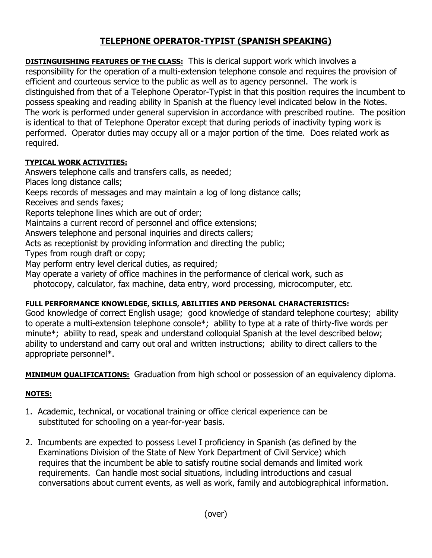## **TELEPHONE OPERATOR-TYPIST (SPANISH SPEAKING)**

**DISTINGUISHING FEATURES OF THE CLASS:** This is clerical support work which involves a responsibility for the operation of a multi-extension telephone console and requires the provision of efficient and courteous service to the public as well as to agency personnel. The work is distinguished from that of a Telephone Operator-Typist in that this position requires the incumbent to possess speaking and reading ability in Spanish at the fluency level indicated below in the Notes. The work is performed under general supervision in accordance with prescribed routine. The position is identical to that of Telephone Operator except that during periods of inactivity typing work is performed. Operator duties may occupy all or a major portion of the time. Does related work as required.

## **TYPICAL WORK ACTIVITIES:**

Answers telephone calls and transfers calls, as needed;

Places long distance calls;

Keeps records of messages and may maintain a log of long distance calls;

Receives and sends faxes;

Reports telephone lines which are out of order;

Maintains a current record of personnel and office extensions;

Answers telephone and personal inquiries and directs callers;

Acts as receptionist by providing information and directing the public;

Types from rough draft or copy;

May perform entry level clerical duties, as required;

May operate a variety of office machines in the performance of clerical work, such as

photocopy, calculator, fax machine, data entry, word processing, microcomputer, etc.

## **FULL PERFORMANCE KNOWLEDGE, SKILLS, ABILITIES AND PERSONAL CHARACTERISTICS:**

Good knowledge of correct English usage; good knowledge of standard telephone courtesy; ability to operate a multi-extension telephone console\*; ability to type at a rate of thirty-five words per minute\*; ability to read, speak and understand colloquial Spanish at the level described below; ability to understand and carry out oral and written instructions; ability to direct callers to the appropriate personnel\*.

**MINIMUM QUALIFICATIONS:** Graduation from high school or possession of an equivalency diploma.

## **NOTES:**

- 1. Academic, technical, or vocational training or office clerical experience can be substituted for schooling on a year-for-year basis.
- 2. Incumbents are expected to possess Level I proficiency in Spanish (as defined by the Examinations Division of the State of New York Department of Civil Service) which requires that the incumbent be able to satisfy routine social demands and limited work requirements. Can handle most social situations, including introductions and casual conversations about current events, as well as work, family and autobiographical information.